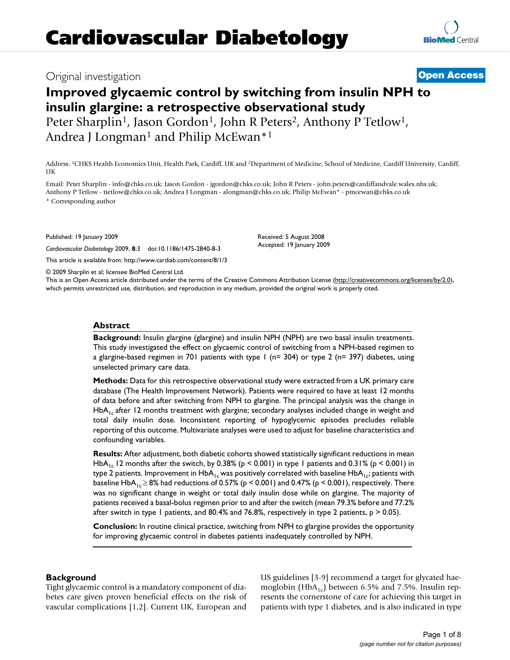## Original investigation **[Open Access](http://www.biomedcentral.com/info/about/charter/)**

# **Improved glycaemic control by switching from insulin NPH to insulin glargine: a retrospective observational study**

Peter Sharplin<sup>1</sup>, Jason Gordon<sup>1</sup>, John R Peters<sup>2</sup>, Anthony P Tetlow<sup>1</sup>, Andrea J Longman<sup>1</sup> and Philip McEwan<sup>\*1</sup>

Address: 1CHKS Health Economics Unit, Health Park, Cardiff, UK and 2Department of Medicine, School of Medicine, Cardiff University, Cardiff, UK

Email: Peter Sharplin - info@chks.co.uk; Jason Gordon - jgordon@chks.co.uk; John R Peters - john.peters@cardiffandvale.wales.nhs.uk; Anthony P Tetlow - ttetlow@chks.co.uk; Andrea J Longman - alongman@chks.co.uk; Philip McEwan\* - pmcewan@chks.co.uk \* Corresponding author

Published: 19 January 2009

*Cardiovascular Diabetology* 2009, **8**:3 doi:10.1186/1475-2840-8-3

[This article is available from: http://www.cardiab.com/content/8/1/3](http://www.cardiab.com/content/8/1/3)

© 2009 Sharplin et al; licensee BioMed Central Ltd.

This is an Open Access article distributed under the terms of the Creative Commons Attribution License [\(http://creativecommons.org/licenses/by/2.0\)](http://creativecommons.org/licenses/by/2.0), which permits unrestricted use, distribution, and reproduction in any medium, provided the original work is properly cited.

### **Abstract**

**Background:** Insulin glargine (glargine) and insulin NPH (NPH) are two basal insulin treatments. This study investigated the effect on glycaemic control of switching from a NPH-based regimen to a glargine-based regimen in 701 patients with type 1 (n= 304) or type 2 (n= 397) diabetes, using unselected primary care data.

**Methods:** Data for this retrospective observational study were extracted from a UK primary care database (The Health Improvement Network). Patients were required to have at least 12 months of data before and after switching from NPH to glargine. The principal analysis was the change in  $HbA<sub>1c</sub>$  after 12 months treatment with glargine; secondary analyses included change in weight and total daily insulin dose. Inconsistent reporting of hypoglycemic episodes precludes reliable reporting of this outcome. Multivariate analyses were used to adjust for baseline characteristics and confounding variables.

**Results:** After adjustment, both diabetic cohorts showed statistically significant reductions in mean HbA<sub>1c</sub> 12 months after the switch, by 0.38% ( $p < 0.001$ ) in type 1 patients and 0.31% ( $p < 0.001$ ) in type 2 patients. Improvement in  $HbA_{1c}$  was positively correlated with baseline  $HbA_{1c}$ ; patients with baseline  $HbA_1 \ge 8\%$  had reductions of 0.57% (p < 0.001) and 0.47% (p < 0.001), respectively. There was no significant change in weight or total daily insulin dose while on glargine. The majority of patients received a basal-bolus regimen prior to and after the switch (mean 79.3% before and 77.2% after switch in type 1 patients, and 80.4% and 76.8%, respectively in type 2 patients,  $p > 0.05$ ).

**Conclusion:** In routine clinical practice, switching from NPH to glargine provides the opportunity for improving glycaemic control in diabetes patients inadequately controlled by NPH.

### **Background**

Tight glycaemic control is a mandatory component of diabetes care given proven beneficial effects on the risk of vascular complications [1,2]. Current UK, European and US guidelines [3-9] recommend a target for glycated haemoglobin (HbA<sub>1c</sub>) between 6.5% and 7.5%. Insulin represents the cornerstone of care for achieving this target in patients with type 1 diabetes, and is also indicated in type

Received: 5 August 2008 Accepted: 19 January 2009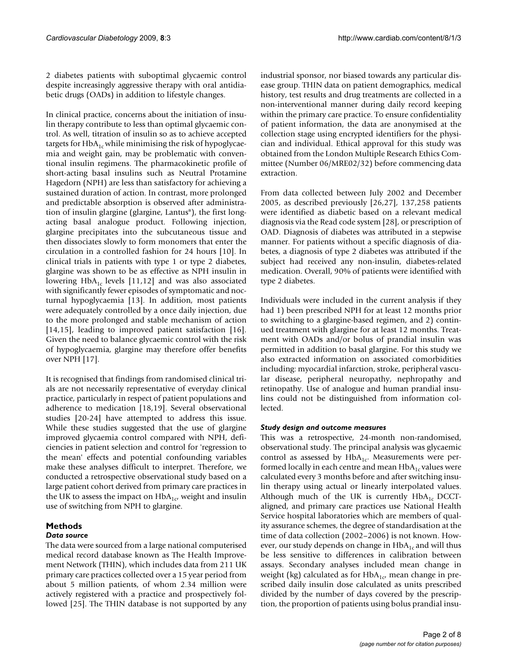2 diabetes patients with suboptimal glycaemic control despite increasingly aggressive therapy with oral antidiabetic drugs (OADs) in addition to lifestyle changes.

In clinical practice, concerns about the initiation of insulin therapy contribute to less than optimal glycaemic control. As well, titration of insulin so as to achieve accepted targets for  $HbA_{1c}$  while minimising the risk of hypoglycaemia and weight gain, may be problematic with conventional insulin regimens. The pharmacokinetic profile of short-acting basal insulins such as Neutral Protamine Hagedorn (NPH) are less than satisfactory for achieving a sustained duration of action. In contrast, more prolonged and predictable absorption is observed after administration of insulin glargine (glargine, Lantus®), the first longacting basal analogue product. Following injection, glargine precipitates into the subcutaneous tissue and then dissociates slowly to form monomers that enter the circulation in a controlled fashion for 24 hours [10]. In clinical trials in patients with type 1 or type 2 diabetes, glargine was shown to be as effective as NPH insulin in lowering  $HbA_{1c}$  levels [11,12] and was also associated with significantly fewer episodes of symptomatic and nocturnal hypoglycaemia [13]. In addition, most patients were adequately controlled by a once daily injection, due to the more prolonged and stable mechanism of action [14,15], leading to improved patient satisfaction [16]. Given the need to balance glycaemic control with the risk of hypoglycaemia, glargine may therefore offer benefits over NPH [17].

It is recognised that findings from randomised clinical trials are not necessarily representative of everyday clinical practice, particularly in respect of patient populations and adherence to medication [18,19]. Several observational studies [20-24] have attempted to address this issue. While these studies suggested that the use of glargine improved glycaemia control compared with NPH, deficiencies in patient selection and control for 'regression to the mean' effects and potential confounding variables make these analyses difficult to interpret. Therefore, we conducted a retrospective observational study based on a large patient cohort derived from primary care practices in the UK to assess the impact on  $HbA_{1c}$ , weight and insulin use of switching from NPH to glargine.

### **Methods**

### *Data source*

The data were sourced from a large national computerised medical record database known as The Health Improvement Network (THIN), which includes data from 211 UK primary care practices collected over a 15 year period from about 5 million patients, of whom 2.34 million were actively registered with a practice and prospectively followed [25]. The THIN database is not supported by any

industrial sponsor, nor biased towards any particular disease group. THIN data on patient demographics, medical history, test results and drug treatments are collected in a non-interventional manner during daily record keeping within the primary care practice. To ensure confidentiality of patient information, the data are anonymised at the collection stage using encrypted identifiers for the physician and individual. Ethical approval for this study was obtained from the London Multiple Research Ethics Committee (Number 06/MRE02/32) before commencing data extraction.

From data collected between July 2002 and December 2005, as described previously [26,27], 137,258 patients were identified as diabetic based on a relevant medical diagnosis via the Read code system [28], or prescription of OAD. Diagnosis of diabetes was attributed in a stepwise manner. For patients without a specific diagnosis of diabetes, a diagnosis of type 2 diabetes was attributed if the subject had received any non-insulin, diabetes-related medication. Overall, 90% of patients were identified with type 2 diabetes.

Individuals were included in the current analysis if they had 1) been prescribed NPH for at least 12 months prior to switching to a glargine-based regimen, and 2) continued treatment with glargine for at least 12 months. Treatment with OADs and/or bolus of prandial insulin was permitted in addition to basal glargine. For this study we also extracted information on associated comorbidities including: myocardial infarction, stroke, peripheral vascular disease, peripheral neuropathy, nephropathy and retinopathy. Use of analogue and human prandial insulins could not be distinguished from information collected.

### *Study design and outcome measures*

This was a retrospective, 24-month non-randomised, observational study. The principal analysis was glycaemic control as assessed by  $HbA_{1c}$ . Measurements were performed locally in each centre and mean  $HbA_{1c}$  values were calculated every 3 months before and after switching insulin therapy using actual or linearly interpolated values. Although much of the UK is currently  $HbA_{1c}$  DCCTaligned, and primary care practices use National Health Service hospital laboratories which are members of quality assurance schemes, the degree of standardisation at the time of data collection (2002–2006) is not known. However, our study depends on change in  $HbA_{1c}$  and will thus be less sensitive to differences in calibration between assays. Secondary analyses included mean change in weight (kg) calculated as for  $HbA_{1c}$ , mean change in prescribed daily insulin dose calculated as units prescribed divided by the number of days covered by the prescription, the proportion of patients using bolus prandial insu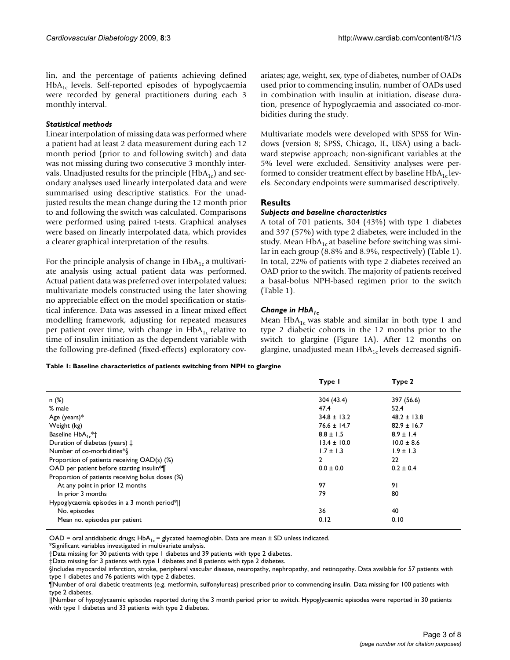lin, and the percentage of patients achieving defined  $HbA<sub>1c</sub>$  levels. Self-reported episodes of hypoglycaemia were recorded by general practitioners during each 3 monthly interval.

### *Statistical methods*

Linear interpolation of missing data was performed where a patient had at least 2 data measurement during each 12 month period (prior to and following switch) and data was not missing during two consecutive 3 monthly intervals. Unadjusted results for the principle  $(HbA_{1c})$  and secondary analyses used linearly interpolated data and were summarised using descriptive statistics. For the unadjusted results the mean change during the 12 month prior to and following the switch was calculated. Comparisons were performed using paired t-tests. Graphical analyses were based on linearly interpolated data, which provides a clearer graphical interpretation of the results.

For the principle analysis of change in  $HbA_{1c}$  a multivariate analysis using actual patient data was performed. Actual patient data was preferred over interpolated values; multivariate models constructed using the later showing no appreciable effect on the model specification or statistical inference. Data was assessed in a linear mixed effect modelling framework, adjusting for repeated measures per patient over time, with change in  $HbA_{1c}$  relative to time of insulin initiation as the dependent variable with the following pre-defined (fixed-effects) exploratory covariates; age, weight, sex, type of diabetes, number of OADs used prior to commencing insulin, number of OADs used in combination with insulin at initiation, disease duration, presence of hypoglycaemia and associated co-morbidities during the study.

Multivariate models were developed with SPSS for Windows (version 8; SPSS, Chicago, IL, USA) using a backward stepwise approach; non-significant variables at the 5% level were excluded. Sensitivity analyses were performed to consider treatment effect by baseline  $HbA_{1c}$  levels. Secondary endpoints were summarised descriptively.

### **Results**

### *Subjects and baseline characteristics*

A total of 701 patients, 304 (43%) with type 1 diabetes and 397 (57%) with type 2 diabetes, were included in the study. Mean  $HbA_{1c}$  at baseline before switching was similar in each group (8.8% and 8.9%, respectively) (Table 1). In total, 22% of patients with type 2 diabetes received an OAD prior to the switch. The majority of patients received a basal-bolus NPH-based regimen prior to the switch (Table 1).

### *Change in HbA1c*

Mean  $HbA_{1c}$  was stable and similar in both type 1 and type 2 diabetic cohorts in the 12 months prior to the switch to glargine (Figure 1A). After 12 months on glargine, unadjusted mean  $HbA_{1c}$  levels decreased signifi-

### **Table 1: Baseline characteristics of patients switching from NPH to glargine**

| Type I          | Type 2          |
|-----------------|-----------------|
| 304 (43.4)      | 397 (56.6)      |
| 47.4            | 52.4            |
| $34.8 \pm 13.2$ | $48.2 \pm 13.8$ |
| $76.6 \pm 14.7$ | $82.9 \pm 16.7$ |
| $8.8 \pm 1.5$   | $8.9 \pm 1.4$   |
| $13.4 \pm 10.0$ | $10.0 \pm 8.6$  |
| $1.7 \pm 1.3$   | $1.9 \pm 1.3$   |
| $\mathbf{2}$    | 22              |
| $0.0 \pm 0.0$   | $0.2 \pm 0.4$   |
|                 |                 |
| 97              | 91              |
| 79              | 80              |
|                 |                 |
| 36              | 40              |
| 0.12            | 0.10            |
|                 |                 |

OAD = oral antidiabetic drugs;  $HbA_{1c}$  = glycated haemoglobin. Data are mean  $\pm$  SD unless indicated.

\*Significant variables investigated in multivariate analysis.

†Data missing for 30 patients with type 1 diabetes and 39 patients with type 2 diabetes.

‡Data missing for 3 patients with type 1 diabetes and 8 patients with type 2 diabetes.

||Number of hypoglycaemic episodes reported during the 3 month period prior to switch. Hypoglycaemic episodes were reported in 30 patients with type 1 diabetes and 33 patients with type 2 diabetes.

<sup>§</sup>Includes myocardial infarction, stroke, peripheral vascular disease, neuropathy, nephropathy, and retinopathy. Data available for 57 patients with type 1 diabetes and 76 patients with type 2 diabetes.

<sup>¶</sup>Number of oral diabetic treatments (e.g. metformin, sulfonylureas) prescribed prior to commencing insulin. Data missing for 100 patients with type 2 diabetes.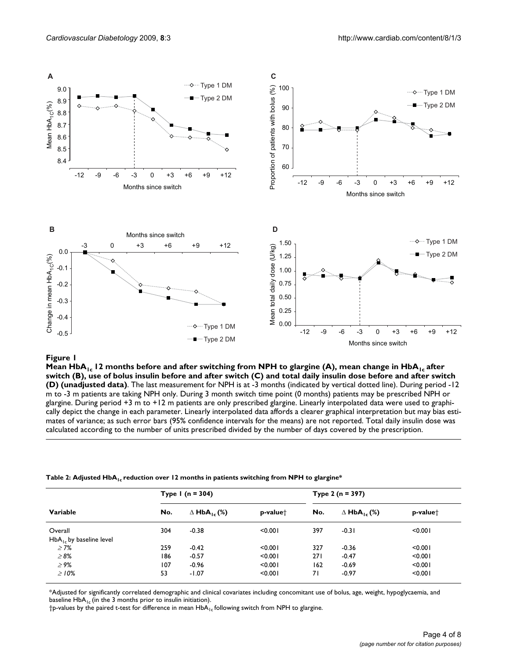

**Exercise Exercise Exercise Service Service Service Service Service Service Service Service Service Service Service Service Service Service Service Service Service Service Service Service Service Service Service Service Se** Mean HbA<sub>1c</sub> 12 months before and after switching from NPH to glargine (A), mean change in HbA<sub>1c</sub> after **switch (B), use of bolus insulin before and after switch (C) and total daily insulin dose before and after switch (D) (unadjusted data)**. The last measurement for NPH is at -3 months (indicated by vertical dotted line). During period -12 m to -3 m patients are taking NPH only. During 3 month switch time point (0 months) patients may be prescribed NPH or glargine. During period +3 m to +12 m patients are only prescribed glargine. Linearly interpolated data were used to graphically depict the change in each parameter. Linearly interpolated data affords a clearer graphical interpretation but may bias estimates of variance; as such error bars (95% confidence intervals for the means) are not reported. Total daily insulin dose was calculated according to the number of units prescribed divided by the number of days covered by the prescription.

### Table 2: Adjusted HbA<sub>1c</sub> reduction over 12 months in patients switching from NPH to glargine\*

|                              | Type $1(n = 304)$ |                                |                      | Type 2 ( $n = 397$ ) |                                |                      |
|------------------------------|-------------------|--------------------------------|----------------------|----------------------|--------------------------------|----------------------|
| Variable                     | No.               | $\Delta$ HbA <sub>1c</sub> (%) | p-value <sup>+</sup> | No.                  | $\Delta$ HbA <sub>1c</sub> (%) | p-value <sup>+</sup> |
| Overall                      | 304               | $-0.38$                        | < 0.001              | 397                  | $-0.31$                        | < 0.001              |
| $HbA_{1c}$ by baseline level |                   |                                |                      |                      |                                |                      |
| $\geq 7\%$                   | 259               | $-0.42$                        | < 0.001              | 327                  | $-0.36$                        | < 0.001              |
| $\geq 8\%$                   | 186               | $-0.57$                        | < 0.001              | 271                  | $-0.47$                        | < 0.001              |
| $\geq 9\%$                   | 107               | $-0.96$                        | < 0.001              | 162                  | $-0.69$                        | < 0.001              |
| $\geq 10\%$                  | 53                | $-1.07$                        | < 0.001              | 71                   | $-0.97$                        | < 0.001              |

\*Adjusted for significantly correlated demographic and clinical covariates including concomitant use of bolus, age, weight, hypoglycaemia, and baseline  $HbA_{1c}$  (in the 3 months prior to insulin initiation).

 $\dagger$ p-values by the paired t-test for difference in mean  $HbA_{1c}$  following switch from NPH to glargine.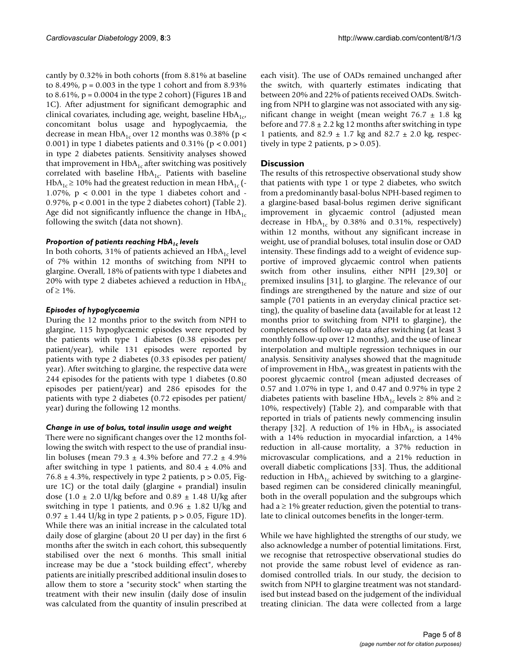cantly by 0.32% in both cohorts (from 8.81% at baseline to 8.49%,  $p = 0.003$  in the type 1 cohort and from 8.93% to 8.61%,  $p = 0.0004$  in the type 2 cohort) (Figures 1B and 1C). After adjustment for significant demographic and clinical covariates, including age, weight, baseline  $HbA_{1c}$ , concomitant bolus usage and hypoglycaemia, the decrease in mean  $HbA_{1c}$  over 12 months was 0.38% (p < 0.001) in type 1 diabetes patients and 0.31% ( $p < 0.001$ ) in type 2 diabetes patients. Sensitivity analyses showed that improvement in  $HbA_{1c}$  after switching was positively correlated with baseline  $HbA_{1c}$ . Patients with baseline  $HbA_{1c} \ge 10\%$  had the greatest reduction in mean  $HbA_{1c}$  (-1.07%,  $p < 0.001$  in the type 1 diabetes cohort and -0.97%, p < 0.001 in the type 2 diabetes cohort) (Table 2). Age did not significantly influence the change in  $HbA<sub>1c</sub>$ following the switch (data not shown).

### **Proportion of patients reaching HbA<sub>1c</sub> levels**

In both cohorts, 31% of patients achieved an  $HbA_{1c}$  level of 7% within 12 months of switching from NPH to glargine. Overall, 18% of patients with type 1 diabetes and 20% with type 2 diabetes achieved a reduction in  $HbA<sub>1c</sub>$ of  $\geq 1\%$ .

### *Episodes of hypoglycaemia*

During the 12 months prior to the switch from NPH to glargine, 115 hypoglycaemic episodes were reported by the patients with type 1 diabetes (0.38 episodes per patient/year), while 131 episodes were reported by patients with type 2 diabetes (0.33 episodes per patient/ year). After switching to glargine, the respective data were 244 episodes for the patients with type 1 diabetes (0.80 episodes per patient/year) and 286 episodes for the patients with type 2 diabetes (0.72 episodes per patient/ year) during the following 12 months.

### *Change in use of bolus, total insulin usage and weight*

There were no significant changes over the 12 months following the switch with respect to the use of prandial insulin boluses (mean 79.3  $\pm$  4.3% before and 77.2  $\pm$  4.9% after switching in type 1 patients, and  $80.4 \pm 4.0\%$  and 76.8  $\pm$  4.3%, respectively in type 2 patients, p > 0.05, Figure 1C) or the total daily (glargine + prandial) insulin dose (1.0  $\pm$  2.0 U/kg before and 0.89  $\pm$  1.48 U/kg after switching in type 1 patients, and  $0.96 \pm 1.82$  U/kg and  $0.97 \pm 1.44$  U/kg in type 2 patients, p > 0.05, Figure 1D). While there was an initial increase in the calculated total daily dose of glargine (about 20 U per day) in the first 6 months after the switch in each cohort, this subsequently stabilised over the next 6 months. This small initial increase may be due a "stock building effect", whereby patients are initially prescribed additional insulin doses to allow them to store a "security stock" when starting the treatment with their new insulin (daily dose of insulin was calculated from the quantity of insulin prescribed at

each visit). The use of OADs remained unchanged after the switch, with quarterly estimates indicating that between 20% and 22% of patients received OADs. Switching from NPH to glargine was not associated with any significant change in weight (mean weight  $76.7 \pm 1.8$  kg before and  $77.8 \pm 2.2$  kg 12 months after switching in type 1 patients, and  $82.9 \pm 1.7$  kg and  $82.7 \pm 2.0$  kg, respectively in type 2 patients,  $p > 0.05$ ).

### **Discussion**

The results of this retrospective observational study show that patients with type 1 or type 2 diabetes, who switch from a predominantly basal-bolus NPH-based regimen to a glargine-based basal-bolus regimen derive significant improvement in glycaemic control (adjusted mean decrease in  $HbA_{1c}$  by 0.38% and 0.31%, respectively) within 12 months, without any significant increase in weight, use of prandial boluses, total insulin dose or OAD intensity. These findings add to a weight of evidence supportive of improved glycaemic control when patients switch from other insulins, either NPH [29,30] or premixed insulins [31], to glargine. The relevance of our findings are strengthened by the nature and size of our sample (701 patients in an everyday clinical practice setting), the quality of baseline data (available for at least 12 months prior to switching from NPH to glargine), the completeness of follow-up data after switching (at least 3 monthly follow-up over 12 months), and the use of linear interpolation and multiple regression techniques in our analysis. Sensitivity analyses showed that the magnitude of improvement in  $HbA_{1c}$  was greatest in patients with the poorest glycaemic control (mean adjusted decreases of 0.57 and 1.07% in type 1, and 0.47 and 0.97% in type 2 diabetes patients with baseline HbA<sub>1c</sub> levels  $\geq$  8% and  $\geq$ 10%, respectively) (Table 2), and comparable with that reported in trials of patients newly commencing insulin therapy [32]. A reduction of 1% in  $HbA_{1c}$  is associated with a 14% reduction in myocardial infarction, a 14% reduction in all-cause mortality, a 37% reduction in microvascular complications, and a 21% reduction in overall diabetic complications [33]. Thus, the additional reduction in  $HbA_{1c}$  achieved by switching to a glarginebased regimen can be considered clinically meaningful, both in the overall population and the subgroups which had  $a \geq 1\%$  greater reduction, given the potential to translate to clinical outcomes benefits in the longer-term.

While we have highlighted the strengths of our study, we also acknowledge a number of potential limitations. First, we recognise that retrospective observational studies do not provide the same robust level of evidence as randomised controlled trials. In our study, the decision to switch from NPH to glargine treatment was not standardised but instead based on the judgement of the individual treating clinician. The data were collected from a large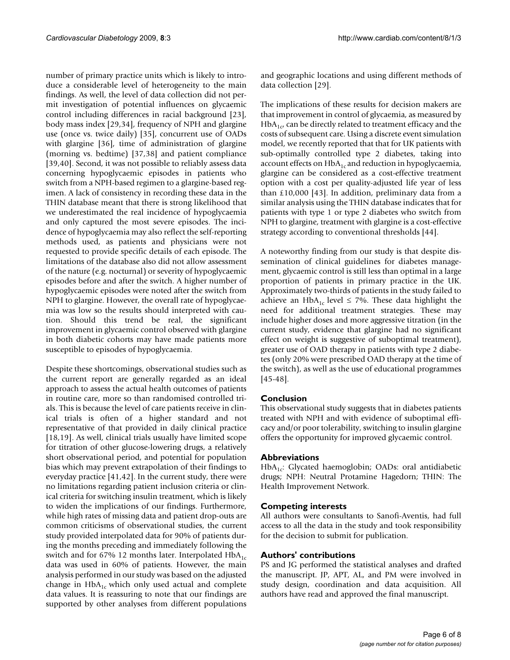number of primary practice units which is likely to introduce a considerable level of heterogeneity to the main findings. As well, the level of data collection did not permit investigation of potential influences on glycaemic control including differences in racial background [23], body mass index [29,34], frequency of NPH and glargine use (once vs. twice daily) [35], concurrent use of OADs with glargine [36], time of administration of glargine (morning vs. bedtime) [37,38] and patient compliance [39,40]. Second, it was not possible to reliably assess data concerning hypoglycaemic episodes in patients who switch from a NPH-based regimen to a glargine-based regimen. A lack of consistency in recording these data in the THIN database meant that there is strong likelihood that we underestimated the real incidence of hypoglycaemia and only captured the most severe episodes. The incidence of hypoglycaemia may also reflect the self-reporting methods used, as patients and physicians were not requested to provide specific details of each episode. The limitations of the database also did not allow assessment of the nature (e.g. nocturnal) or severity of hypoglycaemic episodes before and after the switch. A higher number of hypoglycaemic episodes were noted after the switch from NPH to glargine. However, the overall rate of hypoglycaemia was low so the results should interpreted with caution. Should this trend be real, the significant improvement in glycaemic control observed with glargine in both diabetic cohorts may have made patients more susceptible to episodes of hypoglycaemia.

Despite these shortcomings, observational studies such as the current report are generally regarded as an ideal approach to assess the actual health outcomes of patients in routine care, more so than randomised controlled trials. This is because the level of care patients receive in clinical trials is often of a higher standard and not representative of that provided in daily clinical practice [18,19]. As well, clinical trials usually have limited scope for titration of other glucose-lowering drugs, a relatively short observational period, and potential for population bias which may prevent extrapolation of their findings to everyday practice [41,42]. In the current study, there were no limitations regarding patient inclusion criteria or clinical criteria for switching insulin treatment, which is likely to widen the implications of our findings. Furthermore, while high rates of missing data and patient drop-outs are common criticisms of observational studies, the current study provided interpolated data for 90% of patients during the months preceding and immediately following the switch and for 67% 12 months later. Interpolated  $HbA<sub>1c</sub>$ data was used in 60% of patients. However, the main analysis performed in our study was based on the adjusted change in  $HbA_{1c}$  which only used actual and complete data values. It is reassuring to note that our findings are supported by other analyses from different populations

and geographic locations and using different methods of data collection [29].

The implications of these results for decision makers are that improvement in control of glycaemia, as measured by  $HbA_{1c}$  can be directly related to treatment efficacy and the costs of subsequent care. Using a discrete event simulation model, we recently reported that that for UK patients with sub-optimally controlled type 2 diabetes, taking into account effects on  $HbA_{1c}$  and reduction in hypoglycaemia, glargine can be considered as a cost-effective treatment option with a cost per quality-adjusted life year of less than  $£10,000$  [43]. In addition, preliminary data from a similar analysis using the THIN database indicates that for patients with type 1 or type 2 diabetes who switch from NPH to glargine, treatment with glargine is a cost-effective strategy according to conventional thresholds [44].

A noteworthy finding from our study is that despite dissemination of clinical guidelines for diabetes management, glycaemic control is still less than optimal in a large proportion of patients in primary practice in the UK. Approximately two-thirds of patients in the study failed to achieve an HbA<sub>1c</sub> level  $\leq$  7%. These data highlight the need for additional treatment strategies. These may include higher doses and more aggressive titration (in the current study, evidence that glargine had no significant effect on weight is suggestive of suboptimal treatment), greater use of OAD therapy in patients with type 2 diabetes (only 20% were prescribed OAD therapy at the time of the switch), as well as the use of educational programmes [45-48].

### **Conclusion**

This observational study suggests that in diabetes patients treated with NPH and with evidence of suboptimal efficacy and/or poor tolerability, switching to insulin glargine offers the opportunity for improved glycaemic control.

### **Abbreviations**

 $HbA_{1c}$ : Glycated haemoglobin; OADs: oral antidiabetic drugs; NPH: Neutral Protamine Hagedorn; THIN: The Health Improvement Network.

### **Competing interests**

All authors were consultants to Sanofi-Aventis, had full access to all the data in the study and took responsibility for the decision to submit for publication.

### **Authors' contributions**

PS and JG performed the statistical analyses and drafted the manuscript. JP, APT, AL, and PM were involved in study design, coordination and data acquisition. All authors have read and approved the final manuscript.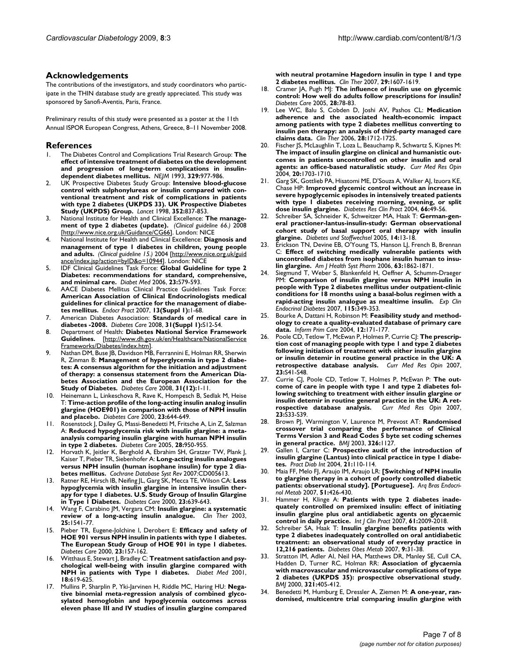### **Acknowledgements**

The contributions of the investigators, and study coordinators who participate in the THIN database study are greatly appreciated. This study was sponsored by Sanofi-Aventis, Paris, France.

Preliminary results of this study were presented as a poster at the 11th Annual ISPOR European Congress, Athens, Greece, 8–11 November 2008.

### **References**

- 1. The Diabetes Control and Complications Trial Research Group: **[The](http://www.ncbi.nlm.nih.gov/entrez/query.fcgi?cmd=Retrieve&db=PubMed&dopt=Abstract&list_uids=8366922) [effect of intensive treatment of diabetes on the development](http://www.ncbi.nlm.nih.gov/entrez/query.fcgi?cmd=Retrieve&db=PubMed&dopt=Abstract&list_uids=8366922) and progression of long-term complications in insulin[dependent diabetes mellitus.](http://www.ncbi.nlm.nih.gov/entrez/query.fcgi?cmd=Retrieve&db=PubMed&dopt=Abstract&list_uids=8366922)** *NEJM* 1993, **329:**977-986.
- 2. UK Prospective Diabetes Study Group: **[Intensive blood-glucose](http://www.ncbi.nlm.nih.gov/entrez/query.fcgi?cmd=Retrieve&db=PubMed&dopt=Abstract&list_uids=9742976) [control with sulphonylureas or insulin compared with con](http://www.ncbi.nlm.nih.gov/entrez/query.fcgi?cmd=Retrieve&db=PubMed&dopt=Abstract&list_uids=9742976)ventional treatment and risk of complications in patients with type 2 diabetes (UKPDS 33). UK Prospective Diabetes [Study \(UKPDS\) Group.](http://www.ncbi.nlm.nih.gov/entrez/query.fcgi?cmd=Retrieve&db=PubMed&dopt=Abstract&list_uids=9742976)** *Lancet* 1998, **352:**837-853.
- 3. National Institute for Health and Clinical Excellence: **The management of type 2 diabetes (update).** *(Clinical guideline 66.)* 2008 [<http://www.nice.org.uk/Guidance/CG66>]. London: NICE
- 4. National Institute for Health and Clinical Excellence: **Diagnosis and management of type 1 diabetes in children, young people and adults.** *(Clinical guideline 15.)* 2004 [[http://www.nice.org.uk/guid](http://www.nice.org.uk/guidance/index.jsp?action=byID&o=10944) [ance/index.jsp?action=byID&o=10944](http://www.nice.org.uk/guidance/index.jsp?action=byID&o=10944)]. London: NICE
- 5. IDF Clinical Guidelines Task Force: **[Global Guideline for type 2](http://www.ncbi.nlm.nih.gov/entrez/query.fcgi?cmd=Retrieve&db=PubMed&dopt=Abstract&list_uids=16759299) [Diabetes: recommendations for standard, comprehensive,](http://www.ncbi.nlm.nih.gov/entrez/query.fcgi?cmd=Retrieve&db=PubMed&dopt=Abstract&list_uids=16759299) [and minimal care.](http://www.ncbi.nlm.nih.gov/entrez/query.fcgi?cmd=Retrieve&db=PubMed&dopt=Abstract&list_uids=16759299)** *Diabet Med* 2006, **23:**579-593.
- 6. AACE Diabetes Mellitus Clinical Practice Guidelines Task Force: **[American Association of Clinical Endocrinologists medical](http://www.ncbi.nlm.nih.gov/entrez/query.fcgi?cmd=Retrieve&db=PubMed&dopt=Abstract&list_uids=17613449) guidelines for clinical practice for the management of diabe[tes mellitus.](http://www.ncbi.nlm.nih.gov/entrez/query.fcgi?cmd=Retrieve&db=PubMed&dopt=Abstract&list_uids=17613449)** *Endocr Pract* 2007, **13(Suppl 1):**1-68.
- 7. American Diabetes Association: **[Standards of medical care in](http://www.ncbi.nlm.nih.gov/entrez/query.fcgi?cmd=Retrieve&db=PubMed&dopt=Abstract&list_uids=18165335) [diabetes -2008.](http://www.ncbi.nlm.nih.gov/entrez/query.fcgi?cmd=Retrieve&db=PubMed&dopt=Abstract&list_uids=18165335)** *Diabetes Care* 2008, **31(Suppl 1):**S12-54.
- 8. Department of Health: **Diabetes National Service Framework Guidelines.** [[http://www.dh.gov.uk/en/Healthcare/NationalService](http://www.dh.gov.uk/en/Healthcare/NationalServiceFrameworks/Diabetes/index.htm) [Frameworks/Diabetes/index.htm\]](http://www.dh.gov.uk/en/Healthcare/NationalServiceFrameworks/Diabetes/index.htm).
- 9. Nathan DM, Buse JB, Davidson MB, Ferrannini E, Holman RR, Sherwin R, Zinman B: **[Management of hyperglycemia in type 2 diabe](http://www.ncbi.nlm.nih.gov/entrez/query.fcgi?cmd=Retrieve&db=PubMed&dopt=Abstract&list_uids=18165348 )[tes: A consensus algorithm for the initiation and adjustment](http://www.ncbi.nlm.nih.gov/entrez/query.fcgi?cmd=Retrieve&db=PubMed&dopt=Abstract&list_uids=18165348 ) of therapy: a consensus statement from the American Diabetes Association and the European Association for the [Study of Diabetes.](http://www.ncbi.nlm.nih.gov/entrez/query.fcgi?cmd=Retrieve&db=PubMed&dopt=Abstract&list_uids=18165348 )** *Diabetes Care* 2008, **31(12):**1-11.
- Heinemann L, Linkeschova R, Rave K, Hompesch B, Sedlak M, Heise T: **[Time-action profile of the long-acting insulin analog insulin](http://www.ncbi.nlm.nih.gov/entrez/query.fcgi?cmd=Retrieve&db=PubMed&dopt=Abstract&list_uids=10834424) [glargine \(HOE901\) in comparison with those of NPH insulin](http://www.ncbi.nlm.nih.gov/entrez/query.fcgi?cmd=Retrieve&db=PubMed&dopt=Abstract&list_uids=10834424) [and placebo.](http://www.ncbi.nlm.nih.gov/entrez/query.fcgi?cmd=Retrieve&db=PubMed&dopt=Abstract&list_uids=10834424)** *Diabetes Care* 2000, **23:**644-649.
- 11. Rosenstock J, Dailey G, Massi-Benedetti M, Fritsche A, Lin Z, Salzman A: **[Reduced hypoglycemia risk with insulin glargine: a meta](http://www.ncbi.nlm.nih.gov/entrez/query.fcgi?cmd=Retrieve&db=PubMed&dopt=Abstract&list_uids=15793205)[analysis comparing insulin glargine with human NPH insulin](http://www.ncbi.nlm.nih.gov/entrez/query.fcgi?cmd=Retrieve&db=PubMed&dopt=Abstract&list_uids=15793205) [in type 2 diabetes.](http://www.ncbi.nlm.nih.gov/entrez/query.fcgi?cmd=Retrieve&db=PubMed&dopt=Abstract&list_uids=15793205)** *Diabetes Care* 2005, **28:**950-955.
- Horvath K, Jeitler K, Berghold A, Ebrahim SH, Gratzer TW, Plank J, Kaiser T, Pieber TR, Siebenhofer A: **[Long-acting insulin analogues](http://www.ncbi.nlm.nih.gov/entrez/query.fcgi?cmd=Retrieve&db=PubMed&dopt=Abstract&list_uids=17443605) [versus NPH insulin \(human isophane insulin\) for type 2 dia](http://www.ncbi.nlm.nih.gov/entrez/query.fcgi?cmd=Retrieve&db=PubMed&dopt=Abstract&list_uids=17443605)[betes mellitus.](http://www.ncbi.nlm.nih.gov/entrez/query.fcgi?cmd=Retrieve&db=PubMed&dopt=Abstract&list_uids=17443605)** *Cochrane Database Syst Rev* 2007:CD005613.
- 13. Ratner RE, Hirsch IB, Neifing JL, Garg SK, Mecca TE, Wilson CA: **[Less](http://www.ncbi.nlm.nih.gov/entrez/query.fcgi?cmd=Retrieve&db=PubMed&dopt=Abstract&list_uids=10834423) [hypoglycemia with insulin glargine in intensive insulin ther](http://www.ncbi.nlm.nih.gov/entrez/query.fcgi?cmd=Retrieve&db=PubMed&dopt=Abstract&list_uids=10834423)apy for type 1 diabetes. U.S. Study Group of Insulin Glargine [in Type 1 Diabetes.](http://www.ncbi.nlm.nih.gov/entrez/query.fcgi?cmd=Retrieve&db=PubMed&dopt=Abstract&list_uids=10834423)** *Diabetes Care* 2000, **23:**639-643.
- 14. Wang F, Carabino JM, Vergara CM: **[Insulin glargine: a systematic](http://www.ncbi.nlm.nih.gov/entrez/query.fcgi?cmd=Retrieve&db=PubMed&dopt=Abstract&list_uids=12860485) [review of a long-acting insulin analogue.](http://www.ncbi.nlm.nih.gov/entrez/query.fcgi?cmd=Retrieve&db=PubMed&dopt=Abstract&list_uids=12860485)** *Clin Ther* 2003, **25:**1541-77.
- 15. Pieber TR, Eugene-Jolchine I, Derobert E: **[Efficacy and safety of](http://www.ncbi.nlm.nih.gov/entrez/query.fcgi?cmd=Retrieve&db=PubMed&dopt=Abstract&list_uids=10868824) [HOE 901 versus NPH insulin in patients with type 1 diabetes.](http://www.ncbi.nlm.nih.gov/entrez/query.fcgi?cmd=Retrieve&db=PubMed&dopt=Abstract&list_uids=10868824) The European Study Group of HOE 901 in type 1 diabetes.** *Diabetes Care* 2000, **23:**157-162.
- 16. Witthaus E, Stewart J, Bradley C: **[Treatment satisfaction and psy](http://www.ncbi.nlm.nih.gov/entrez/query.fcgi?cmd=Retrieve&db=PubMed&dopt=Abstract&list_uids=11553198)[chological well-being with insulin glargine compared with](http://www.ncbi.nlm.nih.gov/entrez/query.fcgi?cmd=Retrieve&db=PubMed&dopt=Abstract&list_uids=11553198) [NPH in patients with Type 1 diabetes.](http://www.ncbi.nlm.nih.gov/entrez/query.fcgi?cmd=Retrieve&db=PubMed&dopt=Abstract&list_uids=11553198)** *Diabet Med* 2001, **18:**619-625.
- 17. Mullins P, Sharplin P, Yki-Jarvinen H, Riddle MC, Haring HU: **[Nega](http://www.ncbi.nlm.nih.gov/entrez/query.fcgi?cmd=Retrieve&db=PubMed&dopt=Abstract&list_uids=17919543)tive binomial meta-regression analysis of combined glycosylated hemoglobin and hypoglycemia outcomes across [eleven phase III and IV studies of insulin glargine compared](http://www.ncbi.nlm.nih.gov/entrez/query.fcgi?cmd=Retrieve&db=PubMed&dopt=Abstract&list_uids=17919543)**

**[with neutral protamine Hagedorn insulin in type 1 and type](http://www.ncbi.nlm.nih.gov/entrez/query.fcgi?cmd=Retrieve&db=PubMed&dopt=Abstract&list_uids=17919543) [2 diabetes mellitus.](http://www.ncbi.nlm.nih.gov/entrez/query.fcgi?cmd=Retrieve&db=PubMed&dopt=Abstract&list_uids=17919543)** *Clin Ther* 2007, **29:**1607-1619.

- 18. Cramer JA, Pugh MJ: **[The influence of insulin use on glycemic](http://www.ncbi.nlm.nih.gov/entrez/query.fcgi?cmd=Retrieve&db=PubMed&dopt=Abstract&list_uids=15616237) [control: How well do adults follow prescriptions for insulin?](http://www.ncbi.nlm.nih.gov/entrez/query.fcgi?cmd=Retrieve&db=PubMed&dopt=Abstract&list_uids=15616237)** *Diabetes Care* 2005, **28:**78-83.
- 19. Lee WC, Balu S, Cobden D, Joshi AV, Pashos CL: **[Medication](http://www.ncbi.nlm.nih.gov/entrez/query.fcgi?cmd=Retrieve&db=PubMed&dopt=Abstract&list_uids=17157128) [adherence and the associated health-economic impact](http://www.ncbi.nlm.nih.gov/entrez/query.fcgi?cmd=Retrieve&db=PubMed&dopt=Abstract&list_uids=17157128) among patients with type 2 diabetes mellitus converting to insulin pen therapy: an analysis of third-party managed care [claims data.](http://www.ncbi.nlm.nih.gov/entrez/query.fcgi?cmd=Retrieve&db=PubMed&dopt=Abstract&list_uids=17157128)** *Clin Ther* 2006, **28:**1712-1725.
- 20. Fischer JS, McLaughlin T, Loza L, Beauchamp R, Schwartz S, Kipnes M: **[The impact of insulin glargine on clinical and humanistic out](http://www.ncbi.nlm.nih.gov/entrez/query.fcgi?cmd=Retrieve&db=PubMed&dopt=Abstract&list_uids=15537471)comes in patients uncontrolled on other insulin and oral [agents: an office-based naturalistic study.](http://www.ncbi.nlm.nih.gov/entrez/query.fcgi?cmd=Retrieve&db=PubMed&dopt=Abstract&list_uids=15537471)** *Curr Med Res Opin* 2004, **20:**1703-1710.
- 21. Garg SK, Gottlieb PA, Hisatomi ME, D'Souza A, Walker AJ, Izuora KE, Chase HP: **[Improved glycemic control without an increase in](http://www.ncbi.nlm.nih.gov/entrez/query.fcgi?cmd=Retrieve&db=PubMed&dopt=Abstract&list_uids=15364161) [severe hypoglycemic episodes in intensively treated patients](http://www.ncbi.nlm.nih.gov/entrez/query.fcgi?cmd=Retrieve&db=PubMed&dopt=Abstract&list_uids=15364161) with type 1 diabetes receiving morning, evening, or split [dose insulin glargine.](http://www.ncbi.nlm.nih.gov/entrez/query.fcgi?cmd=Retrieve&db=PubMed&dopt=Abstract&list_uids=15364161)** *Diabetes Res Clin Pract* 2004, **66:**49-56.
- Schreiber SA, Schneider K, Schweitzer MA, Haak T: German-gen**eral practioner-lantus-insulin-study: German observational cohort study of basal support oral therapy with insulin glargine.** *Diabetes und Stoffwechsel* 2005, **14:**13-18.
- 23. Erickson TN, Devine EB, O'Young TS, Hanson LJ, French B, Brennan C: **[Effect of switching medically vulnerable patients with](http://www.ncbi.nlm.nih.gov/entrez/query.fcgi?cmd=Retrieve&db=PubMed&dopt=Abstract&list_uids=16990633) [uncontrolled diabetes from isophane insulin human to insu](http://www.ncbi.nlm.nih.gov/entrez/query.fcgi?cmd=Retrieve&db=PubMed&dopt=Abstract&list_uids=16990633)[lin glargine.](http://www.ncbi.nlm.nih.gov/entrez/query.fcgi?cmd=Retrieve&db=PubMed&dopt=Abstract&list_uids=16990633)** *Am J Health Syst Pharm* 2006, **63:**1862-1871.
- 24. Siegmund T, Weber S, Blankenfeld H, Oeffner A, Schumm-Draeger PM: **[Comparison of insulin glargine versus NPH insulin in](http://www.ncbi.nlm.nih.gov/entrez/query.fcgi?cmd=Retrieve&db=PubMed&dopt=Abstract&list_uids=17701878) people with Type 2 diabetes mellitus under outpatient-clinic [conditions for 18 months using a basal-bolus regimen with a](http://www.ncbi.nlm.nih.gov/entrez/query.fcgi?cmd=Retrieve&db=PubMed&dopt=Abstract&list_uids=17701878) [rapid-acting insulin analogue as mealtime insulin.](http://www.ncbi.nlm.nih.gov/entrez/query.fcgi?cmd=Retrieve&db=PubMed&dopt=Abstract&list_uids=17701878)** *Exp Clin Endocrinol Diabetes* 2007, **115:**349-353.
- 25. Bourke A, Dattani H, Robinson M: **[Feasibility study and method](http://www.ncbi.nlm.nih.gov/entrez/query.fcgi?cmd=Retrieve&db=PubMed&dopt=Abstract&list_uids=15606990)[ology to create a quality-evaluated database of primary care](http://www.ncbi.nlm.nih.gov/entrez/query.fcgi?cmd=Retrieve&db=PubMed&dopt=Abstract&list_uids=15606990) [data.](http://www.ncbi.nlm.nih.gov/entrez/query.fcgi?cmd=Retrieve&db=PubMed&dopt=Abstract&list_uids=15606990)** *Inform Prim Care* 2004, **12:**171-177.
- 26. Poole CD, Tetlow T, McEwan P, Holmes P, Currie CJ: **The prescription cost of managing people with type 1 and type 2 diabetes following initiation of treatment with either insulin glargine or insulin detemir in routine general practice in the UK: A retrospective database analysis.** *Curr Med Res Opin* 2007, **23:**S41-S48.
- 27. Currie CJ, Poole CD, Tetlow T, Holmes P, McEwan P: **The outcome of care in people with type 1 and type 2 diabetes following switching to treatment with either insulin glargine or insulin detemir in routine general practice in the UK: A retrospective database analysis.** *Curr Med Res Opin* 2007, **23:**S33-S39.
- 28. Brown PJ, Warmington V, Laurence M, Prevost AT: **[Randomised](http://www.ncbi.nlm.nih.gov/entrez/query.fcgi?cmd=Retrieve&db=PubMed&dopt=Abstract&list_uids=12763986) [crossover trial comparing the performance of Clinical](http://www.ncbi.nlm.nih.gov/entrez/query.fcgi?cmd=Retrieve&db=PubMed&dopt=Abstract&list_uids=12763986) Terms Version 3 and Read Codes 5 byte set coding schemes [in general practice.](http://www.ncbi.nlm.nih.gov/entrez/query.fcgi?cmd=Retrieve&db=PubMed&dopt=Abstract&list_uids=12763986)** *BMJ* 2003, **326:**1127.
- Gallen I, Carter C: **Prospective audit of the introduction of insulin glargine (Lantus) into clinical practice in type 1 diabetes.** *Pract Diab Int* 2004, **21:**110-114.
- 30. Maia FF, Melo FJ, Araujo IM, Araujo LR: **[Switching of NPH insulin to glargine therapy in a cohort of poorly controlled diabetic patients: observational study]. [Portuguese].** *Arq Bras Endocrinol Metab* 2007, **51:**426-430.
- 31. Hammer H, Klinge A: **[Patients with type 2 diabetes inade](http://www.ncbi.nlm.nih.gov/entrez/query.fcgi?cmd=Retrieve&db=PubMed&dopt=Abstract&list_uids=17997807)[quately controlled on premixed insulin: effect of initiating](http://www.ncbi.nlm.nih.gov/entrez/query.fcgi?cmd=Retrieve&db=PubMed&dopt=Abstract&list_uids=17997807) insulin glargine plus oral antidiabetic agents on glycaemic [control in daily practice.](http://www.ncbi.nlm.nih.gov/entrez/query.fcgi?cmd=Retrieve&db=PubMed&dopt=Abstract&list_uids=17997807)** *Int J Clin Pract* 2007, **61:**2009-2018.
- 32. Schreiber SA, Haak T: **[Insulin glargine benefits patients with](http://www.ncbi.nlm.nih.gov/entrez/query.fcgi?cmd=Retrieve&db=PubMed&dopt=Abstract&list_uids=17199716) [type 2 diabetes inadequately controlled on oral antidiabetic](http://www.ncbi.nlm.nih.gov/entrez/query.fcgi?cmd=Retrieve&db=PubMed&dopt=Abstract&list_uids=17199716) treatment: an observational study of everyday practice in [12,216 patients.](http://www.ncbi.nlm.nih.gov/entrez/query.fcgi?cmd=Retrieve&db=PubMed&dopt=Abstract&list_uids=17199716)** *Diabetes Obes Metab* 2007, **9:**31-38.
- Stratton IM, Adler AI, Neil HA, Matthews DR, Manley SE, Cull CA, Hadden D, Turner RC, Holman RR: **[Association of glycaemia](http://www.ncbi.nlm.nih.gov/entrez/query.fcgi?cmd=Retrieve&db=PubMed&dopt=Abstract&list_uids=10938048) [with macrovascular and microvascular complications of type](http://www.ncbi.nlm.nih.gov/entrez/query.fcgi?cmd=Retrieve&db=PubMed&dopt=Abstract&list_uids=10938048) 2 diabetes (UKPDS 35): prospective observational study.** *BMJ* 2000, **321:**405-412.
- Benedetti M, Humburg E, Dressler A, Ziemen M: [A one-year, ran](http://www.ncbi.nlm.nih.gov/entrez/query.fcgi?cmd=Retrieve&db=PubMed&dopt=Abstract&list_uids=12734781)**[domised, multicentre trial comparing insulin glargine with](http://www.ncbi.nlm.nih.gov/entrez/query.fcgi?cmd=Retrieve&db=PubMed&dopt=Abstract&list_uids=12734781)**